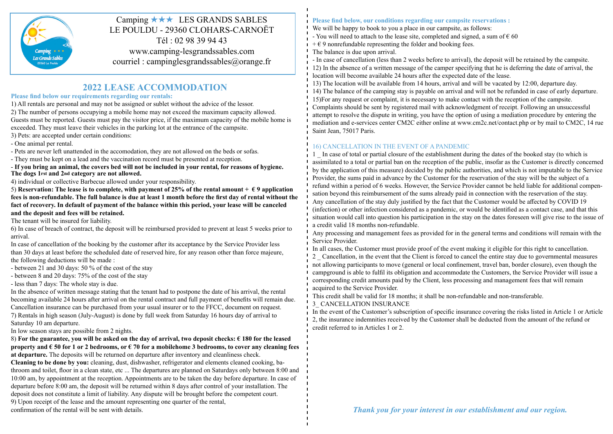

## Camping  $\star \star \star$  LES GRANDS SABLES LE POULDU - 29360 CLOHARS-CARNOËT Tél : 02 98 39 94 43 www.camping-lesgrandssables.com

courriel : campinglesgrandssables@orange.fr

## **2022 LEASE ACCOMMODATION**

#### **Please find below our requirements regarding our rentals:**

1) All rentals are personal and may not be assigned or sublet without the advice of the lessor. 2) The number of persons occupying a mobile home may not exceed the maximum capacity allowed. Guests must be reported. Guests must pay the visitor price, if the maximum capacity of the mobile home is exceeded. They must leave their vehicles in the parking lot at the entrance of the campsite.

3) Pets: are accepted under certain conditions:

- One animal per rental.

- Pets are never left unattended in the accomodation, they are not allowed on the beds or sofas.

- They must be kept on a lead and the vaccination record must be presented at reception.

- **If you bring an animal, the covers bed will not be included in your rental, for reasons of hygiene. The dogs 1rst and 2nd category are not allowed.**

4) individual or collective Barbecue allowed under your responsibility.

5) **Reservation:** The lease is to complete, with payment of 25% of the rental amount  $+ \epsilon$  9 application **fees is non-refundable. The full balance is due at least 1 month before the first day of rental without the fact of recovery. In default of payment of the balance within this period, your lease will be canceled and the deposit and fees will be retained.**

The tenant will be insured for liability.

6) In case of breach of contract, the deposit will be reimbursed provided to prevent at least 5 weeks prior to arrival.

In case of cancellation of the booking by the customer after its acceptance by the Service Provider less than 30 days at least before the scheduled date of reserved hire, for any reason other than force majeure, the following deductions will be made :

- between 21 and 30 days: 50 % of the cost of the stay

- between 8 and 20 days: 75% of the cost of the stay

- less than 7 days: The whole stay is due.

In the absence of written message stating that the tenant had to postpone the date of his arrival, the rental becoming available 24 hours after arrival on the rental contract and full payment of benefits will remain due. Cancellation insurance can be purchased from your usual insurer or to the FFCC, document on request. 7) Rentals in high season (July-August) is done by full week from Saturday 16 hours day of arrival to Saturday 10 am departure.

In low season stays are possible from 2 nights.

#### 8) **For the guarantee, you will be asked on the day of arrival, two deposit checks: € 180 for the leased property and € 50 for 1 or 2 bedrooms, or € 70 for a mobilehome 3 bedrooms, to cover any cleaning fees at departure.** The deposits will be returned on departure after inventory and cleanliness check.

**Cleaning to be done by you:** cleaning, dust, dishwasher, refrigerator and elements cleaned cooking, bathroom and toilet, floor in a clean state, etc ... The departures are planned on Saturdays only between 8:00 and 10:00 am, by appointment at the reception. Appointments are to be taken the day before departure. In case of departure before 8:00 am, the deposit will be returned within 8 days after control of your installation. The deposit does not constitute a limit of liability. Any dispute will be brought before the competent court.

9) Upon receipt of the lease and the amount representing one quarter of the rental,

#### **Please find below, our conditions regarding our campsite reservations :**

We will be happy to book to you a place in our campsite, as follows:

- You will need to attach to the lease site, completed and signed, a sum of  $\epsilon$  60
- $+ \epsilon$  9 nonrefundable representing the folder and booking fees.
- The balance is due upon arrival.

- In case of cancellation (less than 2 weeks before to arrival), the deposit will be retained by the campsite. 12) In the absence of a written message of the camper specifying that he is deferring the date of arrival, the location will become available 24 hours after the expected date of the lease.

13) The location will be available from 14 hours, arrival and will be vacated by 12:00, departure day. 14) The balance of the camping stay is payable on arrival and will not be refunded in case of early departure. 15)For any request or complaint, it is necessary to make contact with the reception of the campsite. Complaints should be sent by registered mail with acknowledgment of receipt. Following an unsuccessful attempt to resolve the dispute in writing, you have the option of using a mediation procedure by entering the mediation and e-services center CM2C either online at www.cm2c.net/contact.php or by mail to CM2C, 14 rue Saint Jean, 75017 Paris.

### 16) CANCELLATION IN THE EVENT OF A PANDEMIC

1 \_ In case of total or partial closure of the establishment during the dates of the booked stay (to which is assimilated to a total or partial ban on the reception of the public, insofar as the Customer is directly concerned by the application of this measure) decided by the public authorities, and which is not imputable to the Service Provider, the sums paid in advance by the Customer for the reservation of the stay will be the subject of a refund within a period of 6 weeks. However, the Service Provider cannot be held liable for additional compensation beyond this reimbursement of the sums already paid in connection with the reservation of the stay. Any cancellation of the stay duly justified by the fact that the Customer would be affected by COVID 19 (infection) or other infection considered as a pandemic, or would be identified as a contact case, and that this situation would call into question his participation in the stay on the dates foreseen will give rise to the issue of a credit valid 18 months non-refundable.

Any processing and management fees as provided for in the general terms and conditions will remain with the Service Provider.

In all cases, the Customer must provide proof of the event making it eligible for this right to cancellation.

2 \_ Cancellation, in the event that the Client is forced to cancel the entire stay due to governmental measures not allowing participants to move (general or local confinement, travel ban, border closure), even though the campground is able to fulfil its obligation and accommodate the Customers, the Service Provider will issue a corresponding credit amounts paid by the Client, less processing and management fees that will remain acquired to the Service Provider.

This credit shall be valid for 18 months; it shall be non-refundable and non-transferable.

3\_ CANCELLATION INSURANCE

In the event of the Customer's subscription of specific insurance covering the risks listed in Article 1 or Article 2, the insurance indemnities received by the Customer shall be deducted from the amount of the refund or credit referred to in Articles 1 or 2.